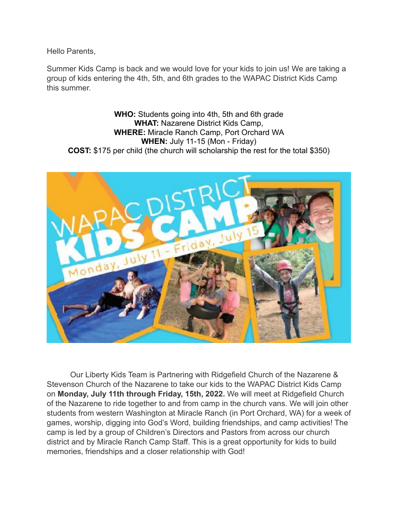Hello Parents,

Summer Kids Camp is back and we would love for your kids to join us! We are taking a group of kids entering the 4th, 5th, and 6th grades to the WAPAC District Kids Camp this summer.

**WHO:** Students going into 4th, 5th and 6th grade **WHAT:** Nazarene District Kids Camp, **WHERE:** Miracle Ranch Camp, Port Orchard WA **WHEN:** July 11-15 (Mon - Friday) **COST:** \$175 per child (the church will scholarship the rest for the total \$350)



Our Liberty Kids Team is Partnering with Ridgefield Church of the Nazarene & Stevenson Church of the Nazarene to take our kids to the WAPAC District Kids Camp on **Monday, July 11th through Friday, 15th, 2022.** We will meet at Ridgefield Church of the Nazarene to ride together to and from camp in the church vans. We will join other students from western Washington at Miracle Ranch (in Port Orchard, WA) for a week of games, worship, digging into God's Word, building friendships, and camp activities! The camp is led by a group of Children's Directors and Pastors from across our church district and by Miracle Ranch Camp Staff. This is a great opportunity for kids to build memories, friendships and a closer relationship with God!